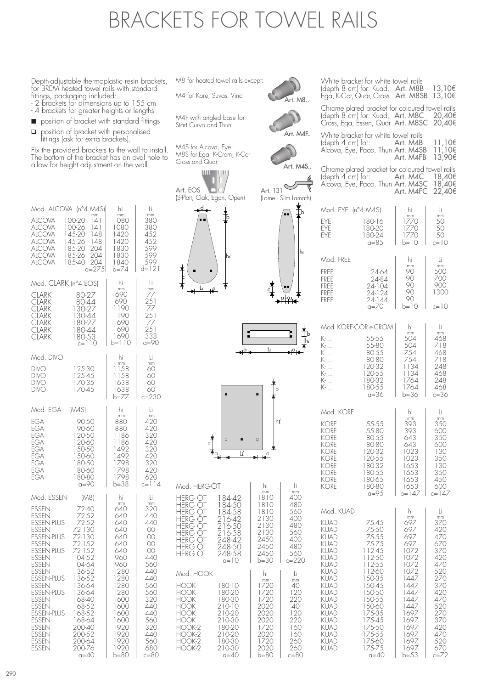## BRACKETS FOR TOWEL RAILS

Depth-adjustable thermoplastic resin brackets, for BREM heated towel rails with standard fittings, packaging included:

- 2 brackets for dimensions up to 155 cm
- 4 brackets for greater heights or lengths
- position of bracket with standard fittings
- ❑ position of bracket with personalised fittings (ask for extra brackets).

Fix the provided brackets to the wall to install. The bottom of the bracket has an oval hole to allow for height adjustment on the wall.

| Mod. ALCOVA                                                                                                                                                                                                                                                          | (n°4 M4S)                                                                                                                                                                               | hi                                                                                                                                          | Li                                                                                                                             |
|----------------------------------------------------------------------------------------------------------------------------------------------------------------------------------------------------------------------------------------------------------------------|-----------------------------------------------------------------------------------------------------------------------------------------------------------------------------------------|---------------------------------------------------------------------------------------------------------------------------------------------|--------------------------------------------------------------------------------------------------------------------------------|
| <b>ALCOVA</b><br><b>ALCOVA</b><br>ALCOVA<br>ALCOVA<br><b>ALCOVA</b><br><b>ALCOVA</b><br>AlCOVA                                                                                                                                                                       | mm<br>100-20<br> 4 <br> 4 <br>100-26<br>145-20<br>148<br>145-26<br>148<br>185-20<br>204<br>185-26<br>204<br>185-40<br>204<br>$a = 275$                                                  | mm<br>1080<br>1080<br>1420<br>1420<br>1830<br>1830<br>1840<br>$b = 74$                                                                      | mm<br>380<br>380<br>452<br>452<br>599<br>599<br>599<br>d=121                                                                   |
| Mod. CLARK (n°4 EOS)                                                                                                                                                                                                                                                 |                                                                                                                                                                                         | hi<br>mm                                                                                                                                    | Li<br>mm                                                                                                                       |
| <b>CLARK</b><br>CLARK<br>CLARK<br><b>CLARK</b><br>CLARK<br><b>CLARK</b><br><b>CLARK</b>                                                                                                                                                                              | 80-27<br>80-44<br>30-27<br>1<br>130-44<br>180-27<br>180-44<br>180-53<br>$c=110$                                                                                                         | 690<br>690<br>1190<br>1190<br>1690<br>1690<br>1690<br>b=110                                                                                 | 77<br>251<br>77<br>251<br>77<br>251<br>338<br>a=90                                                                             |
| Mod. DIVO                                                                                                                                                                                                                                                            |                                                                                                                                                                                         | hi<br>mm                                                                                                                                    | Li<br>mm                                                                                                                       |
| DIVO<br>DIVO<br>DIVO<br>DIVO                                                                                                                                                                                                                                         | 125-30<br>125-45<br>170-35<br>170-45                                                                                                                                                    | 1158<br>1158<br>1638<br>1638<br>b=77                                                                                                        | 60<br>60<br>60<br>60<br>$c = 230$                                                                                              |
| Mod. EGA                                                                                                                                                                                                                                                             | (M4S)                                                                                                                                                                                   | hi<br>mm                                                                                                                                    | Li<br>mm                                                                                                                       |
| EGA<br>EGA<br>EGA<br><b>EGA</b><br>EGA<br>EGA<br>EGA<br>EGA<br>EGA                                                                                                                                                                                                   | 90-50<br>90-60<br>120-50<br>120-60<br>150-50<br>150-60<br>180-50<br>180-60<br>180-80<br>a=90                                                                                            | 880<br>880<br>1186<br>1186<br>1492<br>1492<br>1798<br>1798<br>1798<br>b=38                                                                  | 420<br>420<br>320<br>420<br>320<br>420<br>320<br>420<br>620<br>c=114                                                           |
| Mod. ESSEN                                                                                                                                                                                                                                                           | (M8)                                                                                                                                                                                    | hi<br>mm                                                                                                                                    | Li<br>mm                                                                                                                       |
| essen<br>ESSEN<br>ESSEN-PLUS<br><b>ESSEN</b><br>ESSEN-PLUS<br><b>ESSEN</b><br>ESSEN-PLUS<br><b>ESSEN</b><br><b>ESSEN</b><br>essen<br><b>ESSEN-PLUS</b><br><b>ESSEN</b><br>ESSEN-PLUS<br>ESSEN<br>ESSEN<br>ESSEN-PLUS<br><b>ESSEN</b><br><b>ESSEN</b><br><b>ESSEN</b> | 72-40<br>72-52<br>72-52<br>72-130<br>72-130<br>72-152<br>72-152<br>104-52<br>104-64<br>136-52<br>136-52<br>136-64<br>136-64<br>168-40<br>168-52<br>168-52<br>168-64<br>200-40<br>200-52 | 640<br>640<br>640<br>640<br>640<br>640<br>640<br>960<br>960<br>1280<br>1280<br>1280<br>1280<br>1600<br>1600<br>1600<br>1600<br>1920<br>1920 | 320<br>440<br>440<br>00<br>00<br>00<br>OO.<br>440<br>560<br>440<br>440<br>560<br>560<br>320<br>440<br>440<br>560<br>320<br>440 |

ESSEN 200-52 1920 440<br>ESSEN 200-64 1920 560 ESSEN 200-64 1920 560<br>ESSEN 200-76 1920 680

 $200-76$  1920 680<br> $0=40$   $h=80$   $c=80$  $h=80$ 

M8 for heated towel rails except:

M4 for Kore, Suvas, Vinci

M4F with angled base for Start Curvo and Thun







c

■

c

❑ ❑ ■

Mod. HERG-ÖT hi hi mm<br>
HERG ÖT 184-42 1810 400<br>
HERG ÖT 184-50 1810 480<br>
HERG ÖT 184-58 1810 560 HERG ÖT 184-42 1810 400 HERG ÖT 184-50 1810 480 HERG OT 184-58 | 1810 | 560 HERG ÖT 216-42 2130 400 HERG OT 216-50 2130 480 HERG QI 216-58 2130 560 HERG OT 248-42 2450 2400 HERG OT 248-50 2450 480 HERG OT 248-58 2450 560

Mod. HOOK hi hi Li<br>HOOK 180-10 1720 40

HOOK 180-20 1720 120 HOOK 180-30 1720 220 HOOK 210-10 2020 40<br>HOOK 210-20 2020 120

HOOK 210-30 2020 220 HOOK-2 180-20 1720 160 HOOK-2 210-20 2020 160 HOOK-2 180-30 1720 260  $\begin{array}{c|c|c|c|c|c|c|c|c} \hline \text{HOOK-2} & 210-30 & 2020 & 260 \\ \hline 0 & 2020 & 260 & 260 \\ \hline \end{array}$  $a=40$ 

180-10 1720 40<br>180-20 1720 120<br>180-30 1720 220

 $a=10$   $b=30$   $c=220$ 

210-20 2020 120<br>210-30 2020 220<br>180-20 1720 160

 $\overline{\mathbf{u} \rightarrow \mathbf{e}}$ 

■

b

c

 $a^a$   $b^a$   $a^a$ 

Li

al4a

J,

hi

hi

b

b

h*i*







Art. 131 $\bigcirc$ (Lame - Slim Lamath)

| IF | White bracket for                      |
|----|----------------------------------------|
|    | (depth 4 cm) for:<br>Alcova, Eye, Pacc |
|    |                                        |

| White bracket for white towel rails |        |
|-------------------------------------|--------|
| (depth 4 cm) for:<br>Art. M4B       | 11,10€ |
| Alcova, Eye, Paco, Thun Art. M4SB   | 11,10€ |
| Art. M4FB                           | 13,90€ |
|                                     |        |

(depth 8 cm) for: Kuad, Art. M8B 13,10€ Ega, K-Cor, Quar, Cross Art. M8SB 13,10€ Chrome plated bracket for coloured towel rails (depth 8 cm) for: Kuad, Art. M8C 20,40€ Cross, Ega, Essen, Quar Art. M8SC 20,40€

White bracket for white towel rails

Chrome plated bracket for coloured towel rails  $(\text{depth } 4 \text{ cm})$  for: Art. M4C  $18,406$ Alcova, Eye, Paco, Thun Art. M4SC 18,40€ Art. M4FC 22,40€

|                                                  | Mod. EYE (n°4 M4S)                                         |                                                  | ١i                                                         |
|--------------------------------------------------|------------------------------------------------------------|--------------------------------------------------|------------------------------------------------------------|
| FYF<br>FYF<br>FYF                                | 180-16<br>180-20<br>180-24<br>$n = 8.5$                    | mm<br>1770<br>1770<br>1770<br>h=10               | mm<br>50<br>50<br>50<br>$c=10$                             |
| Mod FRFF<br>FRFF<br>FRFF<br>FRFF<br>FRFF<br>FRFF | 24-64<br>24-84<br>$24 - 104$<br>24-124<br>24-144<br>$a=70$ | hi<br>mm<br>90<br>90<br>90<br>90<br>90<br>$b=10$ | Ιi<br>mm<br>500<br>$\angle$ ()()<br>900<br>1.300<br>$c=10$ |

|     | Mod. KORE-COR e CROM | hi     | Ιi   |
|-----|----------------------|--------|------|
|     |                      | mm     | mm   |
| K-. | 55-55                | 504    | 468  |
| K-. | 55-80                | 504    | 718  |
| K-. | 80-55                | 754    | 468  |
| K-. | 80-80                | 754    | 718  |
| K-. | 120-32               | 1134   | 248  |
| K-. | 120-55               | 1134   | 468  |
| K-. | 180-32               | 1764   | 248  |
| K-. | 180-55               | 1764   | 468  |
|     | a=36                 | $b=36$ | c=36 |

| Mod. KORE                                                                                                                                                                                      |                                                                                                                                                                                                                    | hi                                                                                                                                                       | li                                                                                                                                        |
|------------------------------------------------------------------------------------------------------------------------------------------------------------------------------------------------|--------------------------------------------------------------------------------------------------------------------------------------------------------------------------------------------------------------------|----------------------------------------------------------------------------------------------------------------------------------------------------------|-------------------------------------------------------------------------------------------------------------------------------------------|
| KORF<br>KORE<br><b>KORE</b><br>KORF<br><b>KORE</b><br><b>KORE</b><br>KORF<br>KORF<br><b>KORE</b><br>KORF                                                                                       | 55-55<br>55-80<br>80-55<br>80-80<br>120-32<br>120-55<br>180-32<br>180-55<br>180-65<br>180-80<br>$a = 9.5$                                                                                                          | mm<br>393<br>393<br>643<br>643<br>1023<br>1023<br>1653<br>1653<br>1653<br>1653<br>b=147                                                                  | mm<br>350<br>600<br>350<br>600<br>130<br>350<br>130<br>350<br>450<br>600<br>$c=147$                                                       |
| Mod. KUAD                                                                                                                                                                                      |                                                                                                                                                                                                                    | hi<br>mm                                                                                                                                                 | Li<br>mm                                                                                                                                  |
| KUAD<br>KUAD<br>KUAD<br>KUAD<br>KUAD<br>KUAD<br><b>KUAD</b><br>KUAD<br>KUAD<br><b>KUAD</b><br><b>KUAD</b><br><b>KUAD</b><br>KUAD<br>KUAD<br>KUAD<br><b>KUAD</b><br>KUAD<br>KUAD<br><b>KUAD</b> | $75 - 45$<br>75-50<br>75-55<br>75-75<br>112-45<br>112-50<br>$12 - 55$<br>1<br>112-60<br>1.50-3.5<br>1.50-4.5<br>150-50<br>150-55<br>150-60<br>175-35<br>175-45<br>175-50<br>17.5-5.5<br>175-60<br>175-75<br>$a=40$ | 697<br>697<br>697<br>697<br>1072<br>1072<br>1072<br>1072<br>1447<br>1447<br>1447<br>1447<br>1447<br>1697<br>1697<br>1697<br>1697<br>1697<br>1697<br>b=53 | 370<br>420<br>470<br>670<br>370<br>420<br>470<br>520<br>270<br>370<br>420<br>470<br>520<br>270<br>370<br>420<br>470<br>520<br>670<br>c=72 |